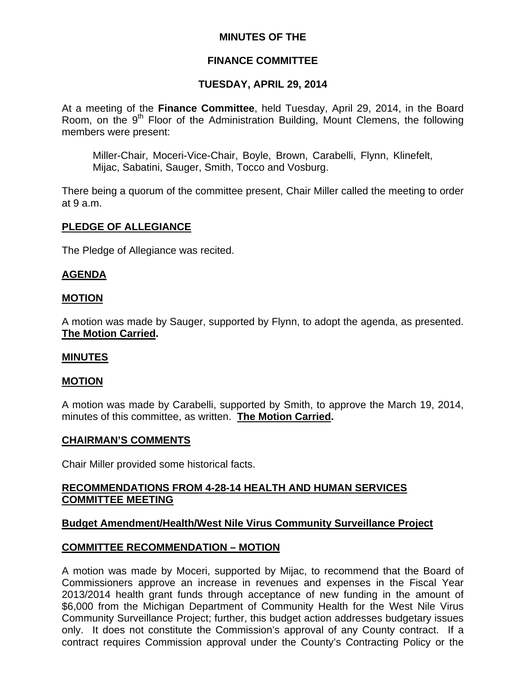## **MINUTES OF THE**

# **FINANCE COMMITTEE**

# **TUESDAY, APRIL 29, 2014**

At a meeting of the **Finance Committee**, held Tuesday, April 29, 2014, in the Board Room, on the  $9<sup>th</sup>$  Floor of the Administration Building, Mount Clemens, the following members were present:

Miller-Chair, Moceri-Vice-Chair, Boyle, Brown, Carabelli, Flynn, Klinefelt, Mijac, Sabatini, Sauger, Smith, Tocco and Vosburg.

There being a quorum of the committee present, Chair Miller called the meeting to order at 9 a.m.

## **PLEDGE OF ALLEGIANCE**

The Pledge of Allegiance was recited.

## **AGENDA**

#### **MOTION**

A motion was made by Sauger, supported by Flynn, to adopt the agenda, as presented. **The Motion Carried.** 

#### **MINUTES**

#### **MOTION**

A motion was made by Carabelli, supported by Smith, to approve the March 19, 2014, minutes of this committee, as written. **The Motion Carried.** 

#### **CHAIRMAN'S COMMENTS**

Chair Miller provided some historical facts.

## **RECOMMENDATIONS FROM 4-28-14 HEALTH AND HUMAN SERVICES COMMITTEE MEETING**

#### **Budget Amendment/Health/West Nile Virus Community Surveillance Project**

#### **COMMITTEE RECOMMENDATION – MOTION**

A motion was made by Moceri, supported by Mijac, to recommend that the Board of Commissioners approve an increase in revenues and expenses in the Fiscal Year 2013/2014 health grant funds through acceptance of new funding in the amount of \$6,000 from the Michigan Department of Community Health for the West Nile Virus Community Surveillance Project; further, this budget action addresses budgetary issues only. It does not constitute the Commission's approval of any County contract. If a contract requires Commission approval under the County's Contracting Policy or the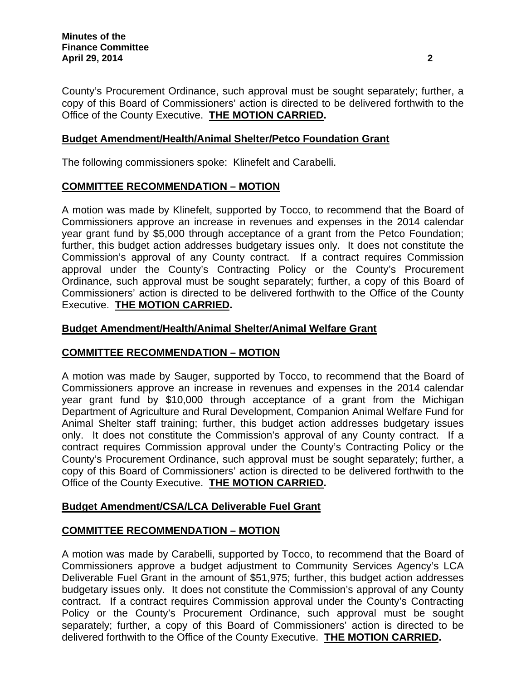County's Procurement Ordinance, such approval must be sought separately; further, a copy of this Board of Commissioners' action is directed to be delivered forthwith to the Office of the County Executive. **THE MOTION CARRIED.** 

# **Budget Amendment/Health/Animal Shelter/Petco Foundation Grant**

The following commissioners spoke: Klinefelt and Carabelli.

## **COMMITTEE RECOMMENDATION – MOTION**

A motion was made by Klinefelt, supported by Tocco, to recommend that the Board of Commissioners approve an increase in revenues and expenses in the 2014 calendar year grant fund by \$5,000 through acceptance of a grant from the Petco Foundation; further, this budget action addresses budgetary issues only. It does not constitute the Commission's approval of any County contract. If a contract requires Commission approval under the County's Contracting Policy or the County's Procurement Ordinance, such approval must be sought separately; further, a copy of this Board of Commissioners' action is directed to be delivered forthwith to the Office of the County Executive. **THE MOTION CARRIED.** 

#### **Budget Amendment/Health/Animal Shelter/Animal Welfare Grant**

## **COMMITTEE RECOMMENDATION – MOTION**

A motion was made by Sauger, supported by Tocco, to recommend that the Board of Commissioners approve an increase in revenues and expenses in the 2014 calendar year grant fund by \$10,000 through acceptance of a grant from the Michigan Department of Agriculture and Rural Development, Companion Animal Welfare Fund for Animal Shelter staff training; further, this budget action addresses budgetary issues only. It does not constitute the Commission's approval of any County contract. If a contract requires Commission approval under the County's Contracting Policy or the County's Procurement Ordinance, such approval must be sought separately; further, a copy of this Board of Commissioners' action is directed to be delivered forthwith to the Office of the County Executive. **THE MOTION CARRIED.** 

## **Budget Amendment/CSA/LCA Deliverable Fuel Grant**

## **COMMITTEE RECOMMENDATION – MOTION**

A motion was made by Carabelli, supported by Tocco, to recommend that the Board of Commissioners approve a budget adjustment to Community Services Agency's LCA Deliverable Fuel Grant in the amount of \$51,975; further, this budget action addresses budgetary issues only. It does not constitute the Commission's approval of any County contract. If a contract requires Commission approval under the County's Contracting Policy or the County's Procurement Ordinance, such approval must be sought separately; further, a copy of this Board of Commissioners' action is directed to be delivered forthwith to the Office of the County Executive. **THE MOTION CARRIED.**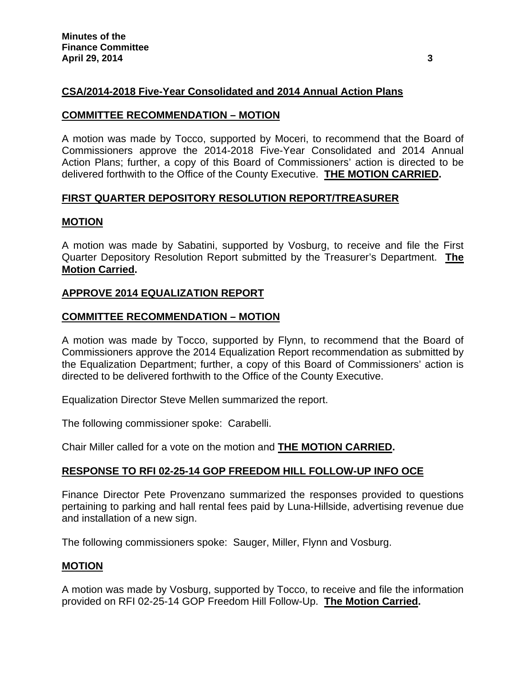# **CSA/2014-2018 Five-Year Consolidated and 2014 Annual Action Plans**

#### **COMMITTEE RECOMMENDATION – MOTION**

A motion was made by Tocco, supported by Moceri, to recommend that the Board of Commissioners approve the 2014-2018 Five-Year Consolidated and 2014 Annual Action Plans; further, a copy of this Board of Commissioners' action is directed to be delivered forthwith to the Office of the County Executive. **THE MOTION CARRIED.** 

#### **FIRST QUARTER DEPOSITORY RESOLUTION REPORT/TREASURER**

#### **MOTION**

A motion was made by Sabatini, supported by Vosburg, to receive and file the First Quarter Depository Resolution Report submitted by the Treasurer's Department. **The Motion Carried.** 

## **APPROVE 2014 EQUALIZATION REPORT**

#### **COMMITTEE RECOMMENDATION – MOTION**

A motion was made by Tocco, supported by Flynn, to recommend that the Board of Commissioners approve the 2014 Equalization Report recommendation as submitted by the Equalization Department; further, a copy of this Board of Commissioners' action is directed to be delivered forthwith to the Office of the County Executive.

Equalization Director Steve Mellen summarized the report.

The following commissioner spoke: Carabelli.

Chair Miller called for a vote on the motion and **THE MOTION CARRIED.**

## **RESPONSE TO RFI 02-25-14 GOP FREEDOM HILL FOLLOW-UP INFO OCE**

Finance Director Pete Provenzano summarized the responses provided to questions pertaining to parking and hall rental fees paid by Luna-Hillside, advertising revenue due and installation of a new sign.

The following commissioners spoke: Sauger, Miller, Flynn and Vosburg.

#### **MOTION**

A motion was made by Vosburg, supported by Tocco, to receive and file the information provided on RFI 02-25-14 GOP Freedom Hill Follow-Up. **The Motion Carried.**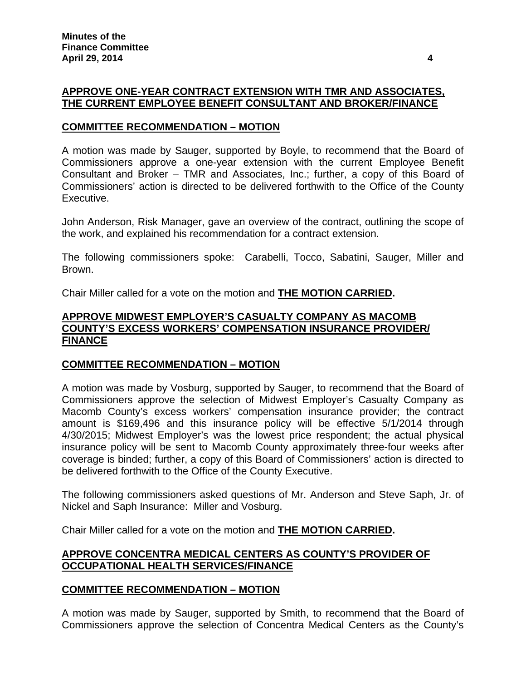# **APPROVE ONE-YEAR CONTRACT EXTENSION WITH TMR AND ASSOCIATES, THE CURRENT EMPLOYEE BENEFIT CONSULTANT AND BROKER/FINANCE**

### **COMMITTEE RECOMMENDATION – MOTION**

A motion was made by Sauger, supported by Boyle, to recommend that the Board of Commissioners approve a one-year extension with the current Employee Benefit Consultant and Broker – TMR and Associates, Inc.; further, a copy of this Board of Commissioners' action is directed to be delivered forthwith to the Office of the County Executive.

John Anderson, Risk Manager, gave an overview of the contract, outlining the scope of the work, and explained his recommendation for a contract extension.

The following commissioners spoke: Carabelli, Tocco, Sabatini, Sauger, Miller and Brown.

Chair Miller called for a vote on the motion and **THE MOTION CARRIED.**

#### **APPROVE MIDWEST EMPLOYER'S CASUALTY COMPANY AS MACOMB COUNTY'S EXCESS WORKERS' COMPENSATION INSURANCE PROVIDER/ FINANCE**

## **COMMITTEE RECOMMENDATION – MOTION**

A motion was made by Vosburg, supported by Sauger, to recommend that the Board of Commissioners approve the selection of Midwest Employer's Casualty Company as Macomb County's excess workers' compensation insurance provider; the contract amount is \$169,496 and this insurance policy will be effective 5/1/2014 through 4/30/2015; Midwest Employer's was the lowest price respondent; the actual physical insurance policy will be sent to Macomb County approximately three-four weeks after coverage is binded; further, a copy of this Board of Commissioners' action is directed to be delivered forthwith to the Office of the County Executive.

The following commissioners asked questions of Mr. Anderson and Steve Saph, Jr. of Nickel and Saph Insurance: Miller and Vosburg.

Chair Miller called for a vote on the motion and **THE MOTION CARRIED.**

## **APPROVE CONCENTRA MEDICAL CENTERS AS COUNTY'S PROVIDER OF OCCUPATIONAL HEALTH SERVICES/FINANCE**

#### **COMMITTEE RECOMMENDATION – MOTION**

A motion was made by Sauger, supported by Smith, to recommend that the Board of Commissioners approve the selection of Concentra Medical Centers as the County's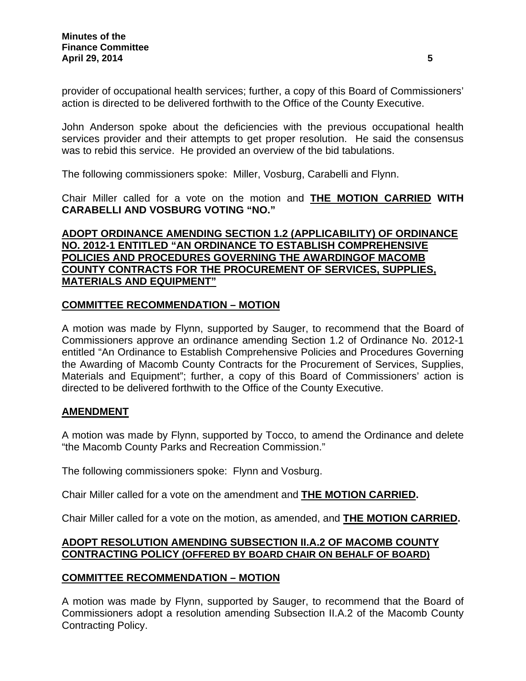provider of occupational health services; further, a copy of this Board of Commissioners' action is directed to be delivered forthwith to the Office of the County Executive.

John Anderson spoke about the deficiencies with the previous occupational health services provider and their attempts to get proper resolution. He said the consensus was to rebid this service. He provided an overview of the bid tabulations.

The following commissioners spoke: Miller, Vosburg, Carabelli and Flynn.

Chair Miller called for a vote on the motion and **THE MOTION CARRIED WITH CARABELLI AND VOSBURG VOTING "NO."** 

## **ADOPT ORDINANCE AMENDING SECTION 1.2 (APPLICABILITY) OF ORDINANCE NO. 2012-1 ENTITLED "AN ORDINANCE TO ESTABLISH COMPREHENSIVE POLICIES AND PROCEDURES GOVERNING THE AWARDINGOF MACOMB COUNTY CONTRACTS FOR THE PROCUREMENT OF SERVICES, SUPPLIES, MATERIALS AND EQUIPMENT"**

# **COMMITTEE RECOMMENDATION – MOTION**

A motion was made by Flynn, supported by Sauger, to recommend that the Board of Commissioners approve an ordinance amending Section 1.2 of Ordinance No. 2012-1 entitled "An Ordinance to Establish Comprehensive Policies and Procedures Governing the Awarding of Macomb County Contracts for the Procurement of Services, Supplies, Materials and Equipment"; further, a copy of this Board of Commissioners' action is directed to be delivered forthwith to the Office of the County Executive.

## **AMENDMENT**

A motion was made by Flynn, supported by Tocco, to amend the Ordinance and delete "the Macomb County Parks and Recreation Commission."

The following commissioners spoke: Flynn and Vosburg.

Chair Miller called for a vote on the amendment and **THE MOTION CARRIED.** 

Chair Miller called for a vote on the motion, as amended, and **THE MOTION CARRIED.** 

# **ADOPT RESOLUTION AMENDING SUBSECTION II.A.2 OF MACOMB COUNTY CONTRACTING POLICY (OFFERED BY BOARD CHAIR ON BEHALF OF BOARD)**

## **COMMITTEE RECOMMENDATION – MOTION**

A motion was made by Flynn, supported by Sauger, to recommend that the Board of Commissioners adopt a resolution amending Subsection II.A.2 of the Macomb County Contracting Policy.